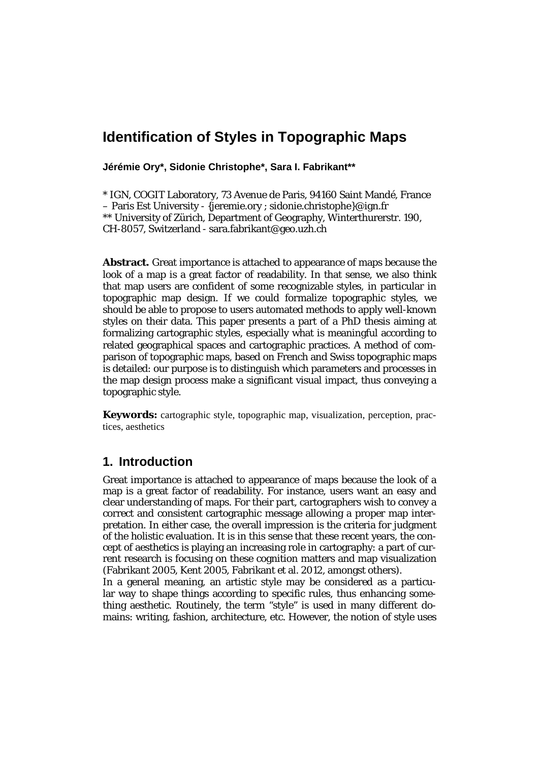# **Identification of Styles in Topographic Maps**

**Jérémie Ory\*, Sidonie Christophe\*, Sara I. Fabrikant\*\***

\* IGN, COGIT Laboratory, 73 Avenue de Paris, 94160 Saint Mandé, France – Paris Est University - {jeremie.ory ; sidonie.christophe}@ign.fr \*\* University of Zürich, Department of Geography, Winterthurerstr. 190, CH-8057, Switzerland - sara.fabrikant@geo.uzh.ch

**Abstract.** Great importance is attached to appearance of maps because the look of a map is a great factor of readability. In that sense, we also think that map users are confident of some recognizable styles, in particular in topographic map design. If we could formalize topographic styles, we should be able to propose to users automated methods to apply well-known styles on their data. This paper presents a part of a PhD thesis aiming at formalizing cartographic styles, especially what is meaningful according to related geographical spaces and cartographic practices. A method of comparison of topographic maps, based on French and Swiss topographic maps is detailed: our purpose is to distinguish which parameters and processes in the map design process make a significant visual impact, thus conveying a topographic style.

**Keywords:** cartographic style, topographic map, visualization, perception, practices, aesthetics

## **1. Introduction**

Great importance is attached to appearance of maps because the look of a map is a great factor of readability. For instance, users want an easy and clear understanding of maps. For their part, cartographers wish to convey a correct and consistent cartographic message allowing a proper map interpretation. In either case, the overall impression is the criteria for judgment of the holistic evaluation. It is in this sense that these recent years, the concept of aesthetics is playing an increasing role in cartography: a part of current research is focusing on these cognition matters and map visualization (Fabrikant 2005, Kent 2005, Fabrikant et al. 2012, amongst others).

In a general meaning, an artistic style may be considered as a particular way to shape things according to specific rules, thus enhancing something aesthetic. Routinely, the term "style" is used in many different domains: writing, fashion, architecture, etc. However, the notion of style uses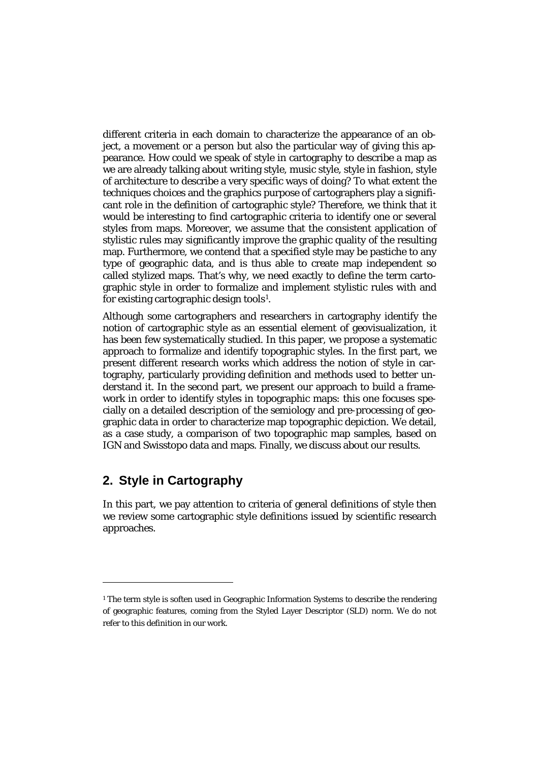different criteria in each domain to characterize the appearance of an object, a movement or a person but also the particular way of giving this appearance. How could we speak of style in cartography to describe a map as we are already talking about writing style, music style, style in fashion, style of architecture to describe a very specific ways of doing? To what extent the techniques choices and the graphics purpose of cartographers play a significant role in the definition of cartographic style? Therefore, we think that it would be interesting to find cartographic criteria to identify one or several styles from maps. Moreover, we assume that the consistent application of stylistic rules may significantly improve the graphic quality of the resulting map. Furthermore, we contend that a specified style may be pastiche to any type of geographic data, and is thus able to create map independent so called stylized maps. That's why, we need exactly to define the term cartographic style in order to formalize and implement stylistic rules with and for existing cartographic design tools[1](#page-1-0) .

Although some cartographers and researchers in cartography identify the notion of cartographic style as an essential element of geovisualization, it has been few systematically studied. In this paper, we propose a systematic approach to formalize and identify topographic styles. In the first part, we present different research works which address the notion of style in cartography, particularly providing definition and methods used to better understand it. In the second part, we present our approach to build a framework in order to identify styles in topographic maps: this one focuses specially on a detailed description of the semiology and pre-processing of geographic data in order to characterize map topographic depiction. We detail, as a case study, a comparison of two topographic map samples, based on IGN and Swisstopo data and maps. Finally, we discuss about our results.

# **2. Style in Cartography**

1

In this part, we pay attention to criteria of general definitions of style then we review some cartographic style definitions issued by scientific research approaches.

<span id="page-1-0"></span><sup>&</sup>lt;sup>1</sup> The term style is soften used in Geographic Information Systems to describe the rendering of geographic features, coming from the Styled Layer Descriptor (SLD) norm. We do not refer to this definition in our work.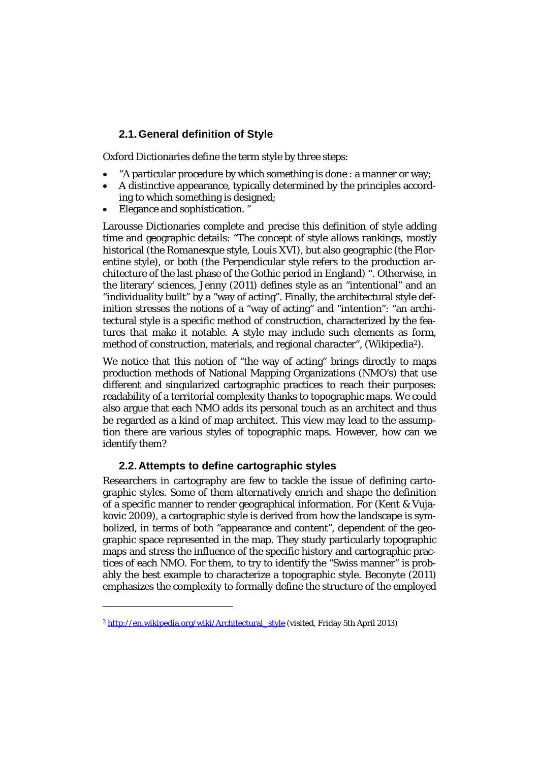### **2.1.General definition of Style**

Oxford Dictionaries define the term style by three steps:

- "A particular procedure by which something is done : a manner or way;
- A distinctive appearance, typically determined by the principles according to which something is designed;
- Elegance and sophistication. "

Larousse Dictionaries complete and precise this definition of style adding time and geographic details: "The concept of style allows rankings, mostly historical (the Romanesque style, Louis XVI), but also geographic (the Florentine style), or both (the Perpendicular style refers to the production architecture of the last phase of the Gothic period in England) ". Otherwise, in the literary' sciences, Jenny (2011) defines style as an "intentional" and an "individuality built" by a "way of acting". Finally, the architectural style definition stresses the notions of a "way of acting" and "intention": "an architectural style is a specific method of construction, characterized by the features that make it notable. A style may include such elements as [form,](http://en.wiktionary.org/wiki/form) method of construction, [materials,](http://en.wikipedia.org/wiki/Materials) and regional character", (Wikipedia[2](#page-2-0)).

We notice that this notion of "the way of acting" brings directly to maps production methods of National Mapping Organizations (NMO's) that use different and singularized cartographic practices to reach their purposes: readability of a territorial complexity thanks to topographic maps. We could also argue that each NMO adds its personal touch as an architect and thus be regarded as a kind of map architect. This view may lead to the assumption there are various styles of topographic maps. However, how can we identify them?

#### **2.2.Attempts to define cartographic styles**

Researchers in cartography are few to tackle the issue of defining cartographic styles. Some of them alternatively enrich and shape the definition of a specific manner to render geographical information. For (Kent & Vujakovic 2009), a cartographic style is derived from how the landscape is symbolized, in terms of both "appearance and content", dependent of the geographic space represented in the map. They study particularly topographic maps and stress the influence of the specific history and cartographic practices of each NMO. For them, to try to identify the "Swiss manner" is probably the best example to characterize a topographic style. Beconyte (2011) emphasizes the complexity to formally define the structure of the employed

 $\overline{a}$ 

<span id="page-2-0"></span><sup>&</sup>lt;sup>2</sup> [http://en.wikipedia.org/wiki/Architectural\\_style](http://en.wikipedia.org/wiki/Architectural_style) (visited, Friday 5th April 2013)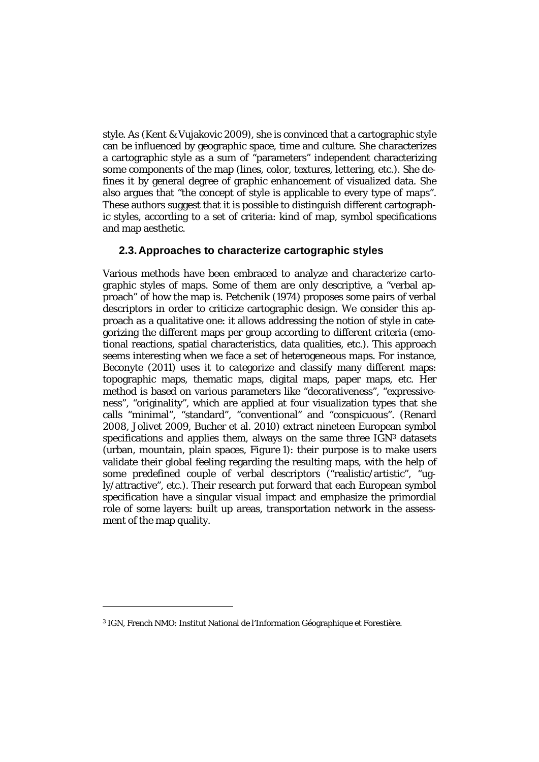style. As (Kent & Vujakovic 2009), she is convinced that a cartographic style can be influenced by geographic space, time and culture. She characterizes a cartographic style as a sum of "parameters" independent characterizing some components of the map (lines, color, textures, lettering, etc.). She defines it by general degree of graphic enhancement of visualized data. She also argues that "the concept of style is applicable to every type of maps". These authors suggest that it is possible to distinguish different cartographic styles, according to a set of criteria: kind of map, symbol specifications and map aesthetic.

#### **2.3.Approaches to characterize cartographic styles**

Various methods have been embraced to analyze and characterize cartographic styles of maps. Some of them are only descriptive, a "verbal approach" of how the map is. Petchenik (1974) proposes some pairs of verbal descriptors in order to criticize cartographic design. We consider this approach as a qualitative one: it allows addressing the notion of style in categorizing the different maps per group according to different criteria (emotional reactions, spatial characteristics, data qualities, etc.). This approach seems interesting when we face a set of heterogeneous maps. For instance, Beconyte (2011) uses it to categorize and classify many different maps: topographic maps, thematic maps, digital maps, paper maps, etc. Her method is based on various parameters like "decorativeness", "expressiveness", "originality", which are applied at four visualization types that she calls "minimal", "standard", "conventional" and "conspicuous". (Renard 2008, Jolivet 2009, Bucher et al. 2010) extract nineteen European symbol specifications and applies them, always on the same three  $IGN<sup>3</sup>$  $IGN<sup>3</sup>$  $IGN<sup>3</sup>$  datasets (urban, mountain, plain spaces, *Figure 1*): their purpose is to make users validate their global feeling regarding the resulting maps, with the help of some predefined couple of verbal descriptors ("realistic/artistic", "ugly/attractive", etc.). Their research put forward that each European symbol specification have a singular visual impact and emphasize the primordial role of some layers: built up areas, transportation network in the assessment of the map quality.

 $\overline{a}$ 

<span id="page-3-0"></span><sup>3</sup> IGN, French NMO: Institut National de l'Information Géographique et Forestière.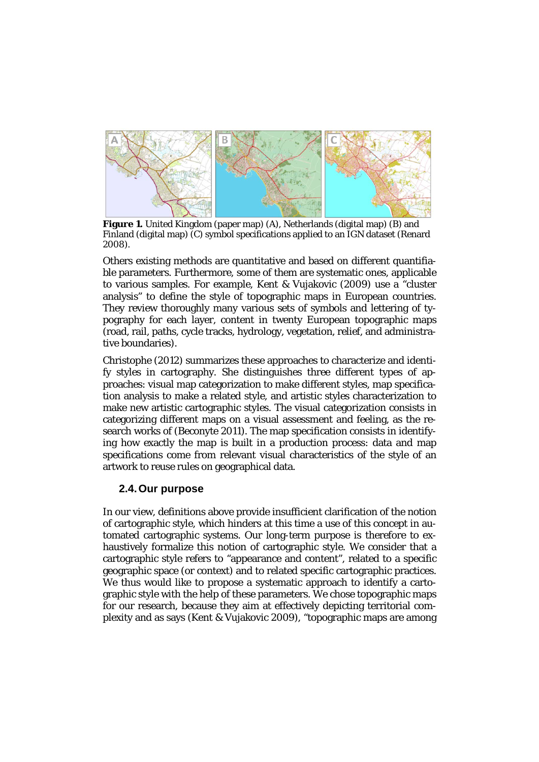

**Figure 1.** United Kingdom (paper map) (A), Netherlands (digital map) (B) and Finland (digital map) (C) symbol specifications applied to an IGN dataset (Renard 2008).

Others existing methods are quantitative and based on different quantifiable parameters. Furthermore, some of them are systematic ones, applicable to various samples. For example, Kent & Vujakovic (2009) use a "cluster analysis" to define the style of topographic maps in European countries. They review thoroughly many various sets of symbols and lettering of typography for each layer, content in twenty European topographic maps (road, rail, paths, cycle tracks, hydrology, vegetation, relief, and administrative boundaries).

Christophe (2012) summarizes these approaches to characterize and identify styles in cartography. She distinguishes three different types of approaches: visual map categorization to make different styles, map specification analysis to make a related style, and artistic styles characterization to make new artistic cartographic styles. The visual categorization consists in categorizing different maps on a visual assessment and feeling, as the research works of (Beconyte 2011). The map specification consists in identifying how exactly the map is built in a production process: data and map specifications come from relevant visual characteristics of the style of an artwork to reuse rules on geographical data.

#### **2.4.Our purpose**

In our view, definitions above provide insufficient clarification of the notion of cartographic style, which hinders at this time a use of this concept in automated cartographic systems. Our long-term purpose is therefore to exhaustively formalize this notion of cartographic style. We consider that a cartographic style refers to "appearance and content", related to a specific geographic space (or context) and to related specific cartographic practices. We thus would like to propose a systematic approach to identify a cartographic style with the help of these parameters. We chose topographic maps for our research, because they aim at effectively depicting territorial complexity and as says (Kent & Vujakovic 2009), "topographic maps are among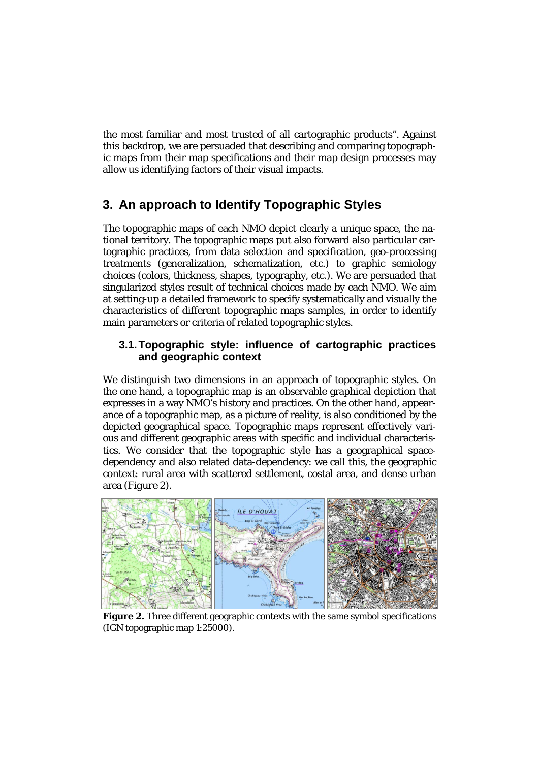the most familiar and most trusted of all cartographic products". Against this backdrop, we are persuaded that describing and comparing topographic maps from their map specifications and their map design processes may allow us identifying factors of their visual impacts*.*

# **3. An approach to Identify Topographic Styles**

The topographic maps of each NMO depict clearly a unique space, the national territory. The topographic maps put also forward also particular cartographic practices, from data selection and specification, geo-processing treatments (generalization, schematization, etc.) to graphic semiology choices (colors, thickness, shapes, typography, etc.). We are persuaded that singularized styles result of technical choices made by each NMO. We aim at setting-up a detailed framework to specify systematically and visually the characteristics of different topographic maps samples, in order to identify main parameters or criteria of related topographic styles.

#### **3.1.Topographic style: influence of cartographic practices and geographic context**

We distinguish two dimensions in an approach of topographic styles. On the one hand, a topographic map is an observable graphical depiction that expresses in a way NMO's history and practices. On the other hand, appearance of a topographic map, as a picture of reality, is also conditioned by the depicted geographical space. Topographic maps represent effectively various and different geographic areas with specific and individual characteristics. We consider that the topographic style has a geographical spacedependency and also related data-dependency: we call this, the geographic context: rural area with scattered settlement, costal area, and dense urban area (*Figure 2*).



**Figure 2.** Three different geographic contexts with the same symbol specifications (IGN topographic map 1:25000).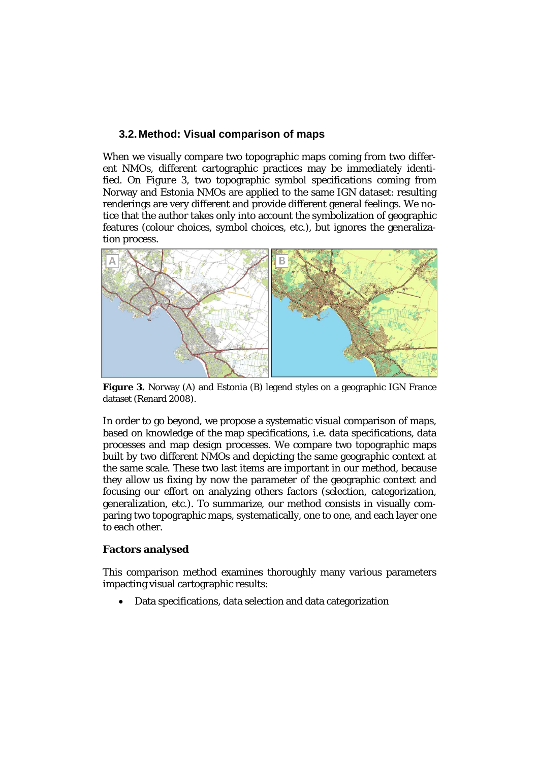#### **3.2.Method: Visual comparison of maps**

When we visually compare two topographic maps coming from two different NMOs, different cartographic practices may be immediately identified. On *Figure 3*, two topographic symbol specifications coming from Norway and Estonia NMOs are applied to the same IGN dataset: resulting renderings are very different and provide different general feelings. We notice that the author takes only into account the symbolization of geographic features (colour choices, symbol choices, etc.), but ignores the generalization process.



**Figure 3.** Norway (A) and Estonia (B) legend styles on a geographic IGN France dataset (Renard 2008).

In order to go beyond, we propose a systematic visual comparison of maps, based on knowledge of the map specifications, i.e. data specifications, data processes and map design processes. We compare two topographic maps built by two different NMOs and depicting the same geographic context at the same scale. These two last items are important in our method, because they allow us fixing by now the parameter of the geographic context and focusing our effort on analyzing others factors (selection, categorization, generalization, etc.). To summarize, our method consists in visually comparing two topographic maps, systematically, one to one, and each layer one to each other.

#### **Factors analysed**

This comparison method examines thoroughly many various parameters impacting visual cartographic results:

• Data specifications, data selection and data categorization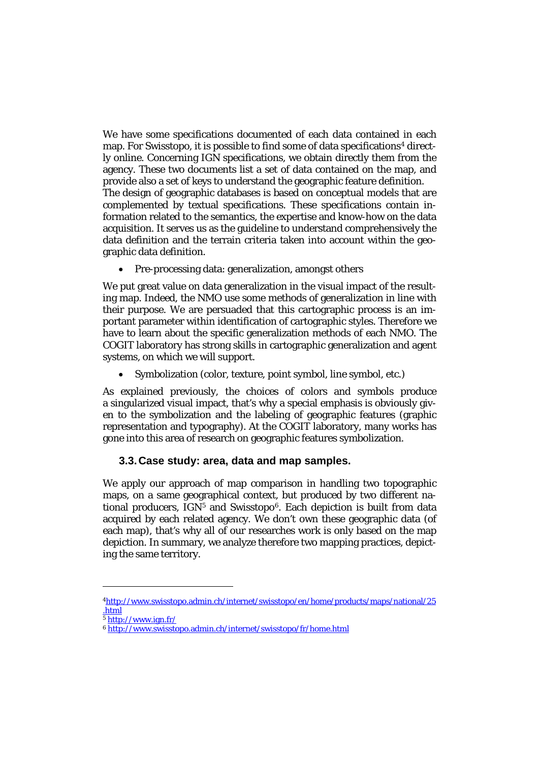We have some specifications documented of each data contained in each map. For Swisstopo, it is possible to find some of data specifications<sup>[4](#page-7-0)</sup> directly online. Concerning IGN specifications, we obtain directly them from the agency. These two documents list a set of data contained on the map, and provide also a set of keys to understand the geographic feature definition. The design of geographic databases is based on conceptual models that are complemented by textual specifications. These specifications contain information related to the semantics, the expertise and know-how on the data acquisition. It serves us as the guideline to understand comprehensively the data definition and the terrain criteria taken into account within the geographic data definition.

• Pre-processing data: generalization, amongst others

We put great value on data generalization in the visual impact of the resulting map. Indeed, the NMO use some methods of generalization in line with their purpose. We are persuaded that this cartographic process is an important parameter within identification of cartographic styles. Therefore we have to learn about the specific generalization methods of each NMO. The COGIT laboratory has strong skills in cartographic generalization and agent systems, on which we will support.

• Symbolization (color, texture, point symbol, line symbol, etc.)

As explained previously, the choices of colors and symbols produce a singularized visual impact, that's why a special emphasis is obviously given to the symbolization and the labeling of geographic features (graphic representation and typography). At the COGIT laboratory, many works has gone into this area of research on geographic features symbolization.

### **3.3.Case study: area, data and map samples.**

We apply our approach of map comparison in handling two topographic maps, on a same geographical context, but produced by two different national producers,  $IGN<sup>5</sup>$  $IGN<sup>5</sup>$  $IGN<sup>5</sup>$  and Swisstopo<sup>6</sup>. Each depiction is built from data acquired by each related agency. We don't own these geographic data (of each map), that's why all of our researches work is only based on the map depiction. In summary, we analyze therefore two mapping practices, depicting the same territory.

1

<span id="page-7-0"></span>[<sup>4</sup>http://www.swisstopo.admin.ch/internet/swisstopo/en/home/products/maps/national/25](http://www.swisstopo.admin.ch/internet/swisstopo/en/home/products/maps/national/25.html) [.html](http://www.swisstopo.admin.ch/internet/swisstopo/en/home/products/maps/national/25.html)

<span id="page-7-1"></span> $\frac{5 \text{ http://www.ien.fr/}}{2}$ 

<span id="page-7-2"></span><sup>6</sup> <http://www.swisstopo.admin.ch/internet/swisstopo/fr/home.html>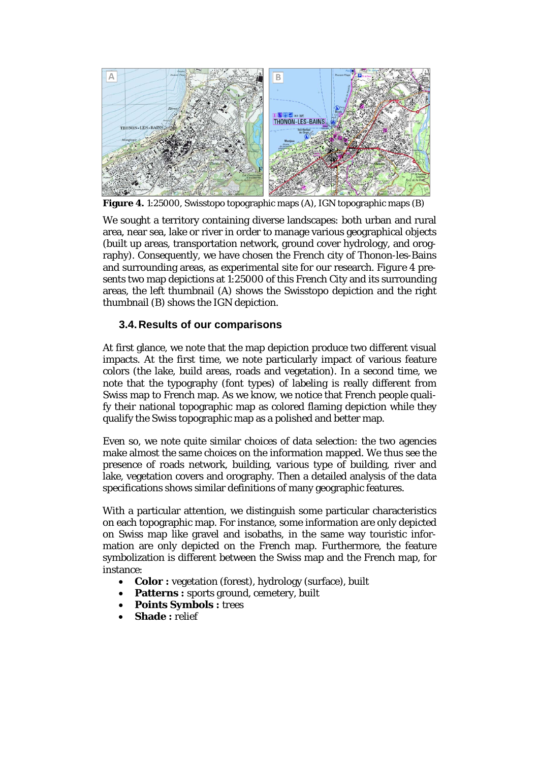

**Figure 4.** 1:25000, Swisstopo topographic maps (A), IGN topographic maps (B)

We sought a territory containing diverse landscapes: both urban and rural area, near sea, lake or river in order to manage various geographical objects (built up areas, transportation network, ground cover hydrology, and orography). Consequently, we have chosen the French city of Thonon-les-Bains and surrounding areas, as experimental site for our research. *Figure 4* presents two map depictions at 1:25000 of this French City and its surrounding areas, the left thumbnail (A) shows the Swisstopo depiction and the right thumbnail (B) shows the IGN depiction.

## **3.4.Results of our comparisons**

At first glance, we note that the map depiction produce two different visual impacts. At the first time, we note particularly impact of various feature colors (the lake, build areas, roads and vegetation). In a second time, we note that the typography (font types) of labeling is really different from Swiss map to French map. As we know, we notice that French people qualify their national topographic map as colored flaming depiction while they qualify the Swiss topographic map as a polished and better map.

Even so, we note quite similar choices of data selection: the two agencies make almost the same choices on the information mapped. We thus see the presence of roads network, building, various type of building, river and lake, vegetation covers and orography. Then a detailed analysis of the data specifications shows similar definitions of many geographic features.

With a particular attention, we distinguish some particular characteristics on each topographic map. For instance, some information are only depicted on Swiss map like gravel and isobaths, in the same way touristic information are only depicted on the French map. Furthermore, the feature symbolization is different between the Swiss map and the French map, for instance:

- **Color :** vegetation (forest), hydrology (surface), built
- Patterns : sports ground, cemetery, built
- **Points Symbols :** trees
- **Shade:** relief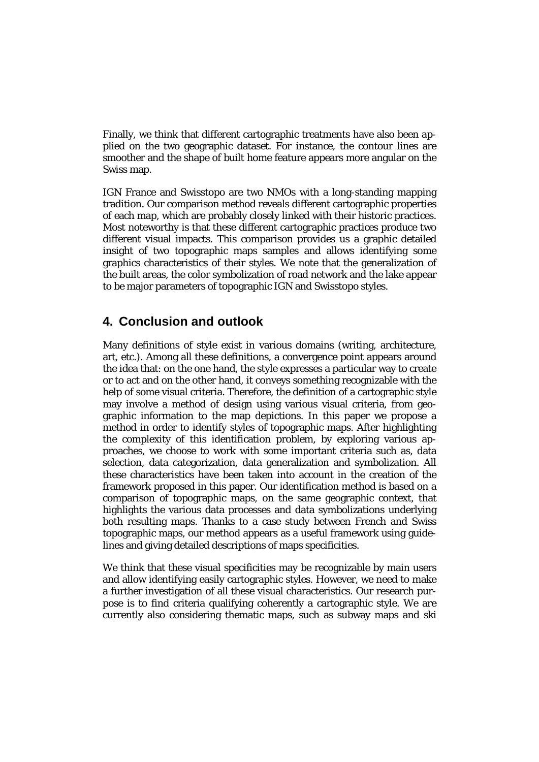Finally, we think that different cartographic treatments have also been applied on the two geographic dataset. For instance, the contour lines are smoother and the shape of built home feature appears more angular on the Swiss map.

IGN France and Swisstopo are two NMOs with a long-standing mapping tradition. Our comparison method reveals different cartographic properties of each map, which are probably closely linked with their historic practices. Most noteworthy is that these different cartographic practices produce two different visual impacts. This comparison provides us a graphic detailed insight of two topographic maps samples and allows identifying some graphics characteristics of their styles. We note that the generalization of the built areas, the color symbolization of road network and the lake appear to be major parameters of topographic IGN and Swisstopo styles.

# **4. Conclusion and outlook**

Many definitions of style exist in various domains (writing, architecture, art, etc.). Among all these definitions, a convergence point appears around the idea that: on the one hand, the style expresses a particular way to create or to act and on the other hand, it conveys something recognizable with the help of some visual criteria. Therefore, the definition of a cartographic style may involve a method of design using various visual criteria, from geographic information to the map depictions. In this paper we propose a method in order to identify styles of topographic maps. After highlighting the complexity of this identification problem, by exploring various approaches, we choose to work with some important criteria such as, data selection, data categorization, data generalization and symbolization. All these characteristics have been taken into account in the creation of the framework proposed in this paper. Our identification method is based on a comparison of topographic maps, on the same geographic context, that highlights the various data processes and data symbolizations underlying both resulting maps. Thanks to a case study between French and Swiss topographic maps, our method appears as a useful framework using guidelines and giving detailed descriptions of maps specificities.

We think that these visual specificities may be recognizable by main users and allow identifying easily cartographic styles. However, we need to make a further investigation of all these visual characteristics. Our research purpose is to find criteria qualifying coherently a cartographic style. We are currently also considering thematic maps, such as subway maps and ski